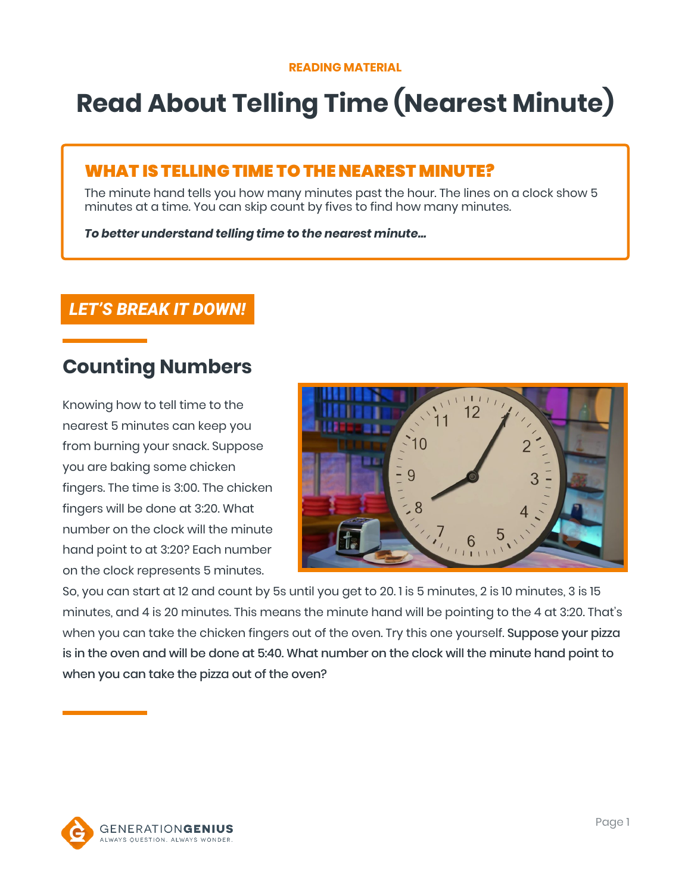# **Read About Telling Time (Nearest Minute)**

### WHAT IS TELLING TIME TO THE NEAREST MINUTE?

The minute hand tells you how many minutes past the hour. The lines on a clock show 5 minutes at a time. You can skip count by fives to find how many minutes.

*To better understand telling time to the nearest minute…*

### *LET'S BREAK IT DOWN!*

### **Counting Numbers**

Knowing how to tell time to the nearest 5 minutes can keep you from burning your snack. Suppose you are baking some chicken fingers. The time is 3:00. The chicken fingers will be done at 3:20. What number on the clock will the minute hand point to at 3:20? Each number on the clock represents 5 minutes.



So, you can start at 12 and count by 5s until you get to 20. 1 is 5 minutes, 2 is 10 minutes, 3 is 15 minutes, and 4 is 20 minutes. This means the minute hand will be pointing to the 4 at 3:20. That's when you can take the chicken fingers out of the oven. Try this one yourself. Suppose your pizza is in the oven and will be done at 5:40. What number on the clock will the minute hand point to when you can take the pizza out of the oven?

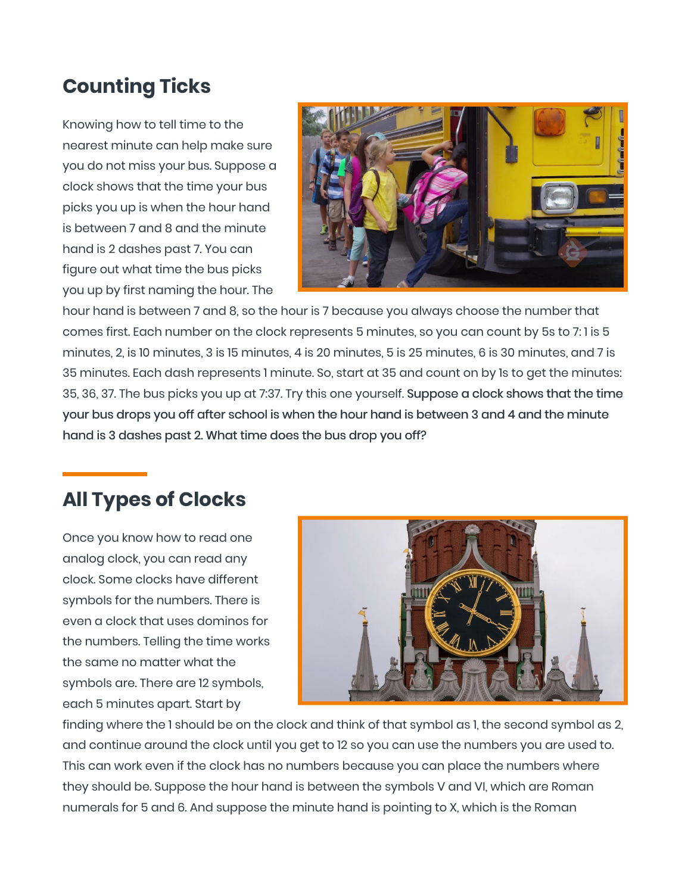## **Counting Ticks**

Knowing how to tell time to the nearest minute can help make sure you do not miss your bus. Suppose a clock shows that the time your bus picks you up is when the hour hand is between 7 and 8 and the minute hand is 2 dashes past 7. You can figure out what time the bus picks you up by first naming the hour. The



hour hand is between 7 and 8, so the hour is 7 because you always choose the number that comes first. Each number on the clock represents 5 minutes, so you can count by 5s to 7: 1 is 5 minutes, 2, is 10 minutes, 3 is 15 minutes, 4 is 20 minutes, 5 is 25 minutes, 6 is 30 minutes, and 7 is 35 minutes. Each dash represents 1 minute. So, start at 35 and count on by 1s to get the minutes: 35, 36, 37. The bus picks you up at 7:37. Try this one yourself. Suppose a clock shows that the time your bus drops you off after school is when the hour hand is between 3 and 4 and the minute hand is 3 dashes past 2. What time does the bus drop you off?

# **All Types of Clocks**

Once you know how to read one analog clock, you can read any clock. Some clocks have different symbols for the numbers. There is even a clock that uses dominos for the numbers. Telling the time works the same no matter what the symbols are. There are 12 symbols, each 5 minutes apart. Start by



finding where the 1 should be on the clock and think of that symbol as 1, the second symbol as 2, and continue around the clock until you get to 12 so you can use the numbers you are used to. This can work even if the clock has no numbers because you can place the numbers where they should be. Suppose the hour hand is between the symbols V and VI, which are Roman numerals for 5 and 6. And suppose the minute hand is pointing to X, which is the Roman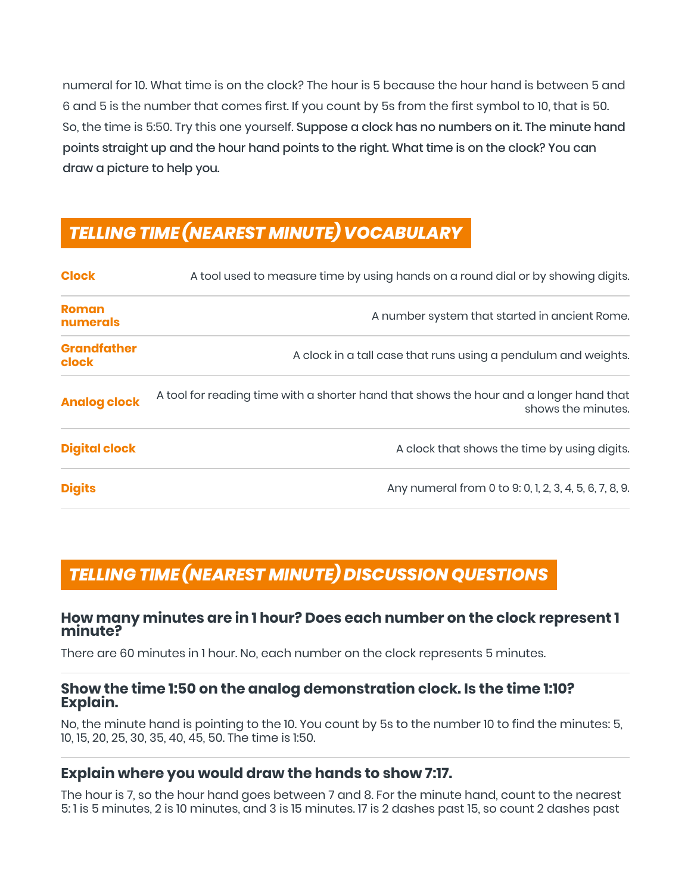numeral for 10. What time is on the clock? The hour is 5 because the hour hand is between 5 and 6 and 5 is the number that comes first. If you count by 5s from the first symbol to 10, that is 50. So, the time is 5:50. Try this one yourself. Suppose a clock has no numbers on it. The minute hand points straight up and the hour hand points to the right. What time is on the clock? You can draw a picture to help you.

### *TELLING TIME (NEAREST MINUTE) VOCABULARY*

| <b>Clock</b>                | A tool used to measure time by using hands on a round dial or by showing digits.                             |
|-----------------------------|--------------------------------------------------------------------------------------------------------------|
| <b>Roman</b><br>numerals    | A number system that started in ancient Rome.                                                                |
| <b>Grandfather</b><br>clock | A clock in a tall case that runs using a pendulum and weights.                                               |
| <b>Analog clock</b>         | A tool for reading time with a shorter hand that shows the hour and a longer hand that<br>shows the minutes. |
| <b>Digital clock</b>        | A clock that shows the time by using digits.                                                                 |
| <b>Digits</b>               | Any numeral from 0 to 9: 0, 1, 2, 3, 4, 5, 6, 7, 8, 9.                                                       |

### *TELLING TIME (NEAREST MINUTE) DISCUSSION QUESTIONS*

#### **How many minutes are in 1 hour? Does each number on the clock represent 1 minute?**

There are 60 minutes in 1 hour. No, each number on the clock represents 5 minutes.

#### **Show the time 1:50 on the analog demonstration clock. Is the time 1:10? Explain.**

No, the minute hand is pointing to the 10. You count by 5s to the number 10 to find the minutes: 5, 10, 15, 20, 25, 30, 35, 40, 45, 50. The time is 1:50.

#### **Explain where you would draw the hands to show 7:17.**

The hour is 7, so the hour hand goes between 7 and 8. For the minute hand, count to the nearest 5: 1 is 5 minutes, 2 is 10 minutes, and 3 is 15 minutes. 17 is 2 dashes past 15, so count 2 dashes past